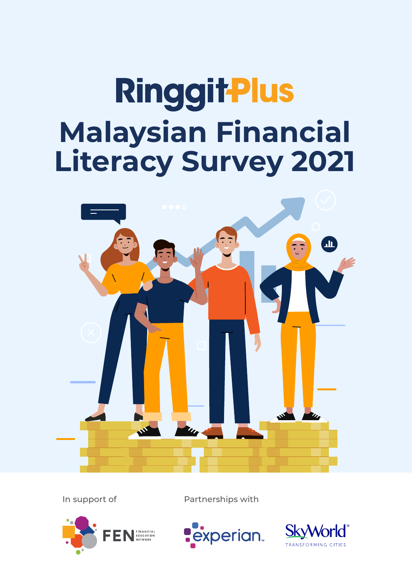# **RinggitPlus Malaysian Financial Literacy Survey 2021**



In support of Partnerships with





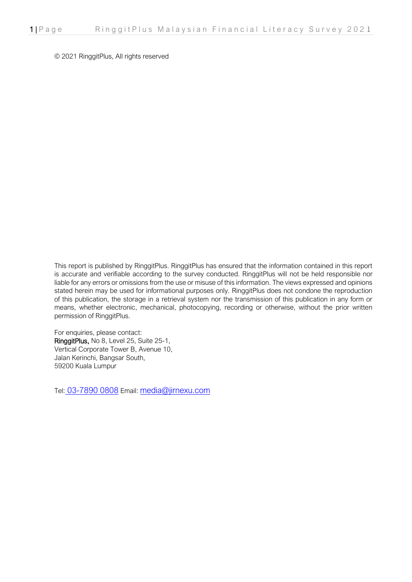© 2021 RinggitPlus, All rights reserved

This report is published by RinggitPlus. RinggitPlus has ensured that the information contained in this report is accurate and verifiable according to the survey conducted. RinggitPlus will not be held responsible nor liable for any errors or omissions from the use or misuse of this information. The views expressed and opinions stated herein may be used for informational purposes only. RinggitPlus does not condone the reproduction of this publication, the storage in a retrieval system nor the transmission of this publication in any form or means, whether electronic, mechanical, photocopying, recording or otherwise, without the prior written permission of RinggitPlus.

For enquiries, please contact: RinggitPlus, No 8, Level 25, Suite 25-1, Vertical Corporate Tower B, Avenue 10, Jalan Kerinchi, Bangsar South, 59200 Kuala Lumpur

Tel: [03-7890 0808](https://www.google.com/search?q=ringgitplus&oq=ringgitplus&aqs=chrome.0.69i59j69i64j69i60l2j69i61j69i60j69i65l2.3353j1j7&sourceid=chrome&ie=UTF-8) Email: [media@jirnexu.com](mailto:media@jirnexu.com)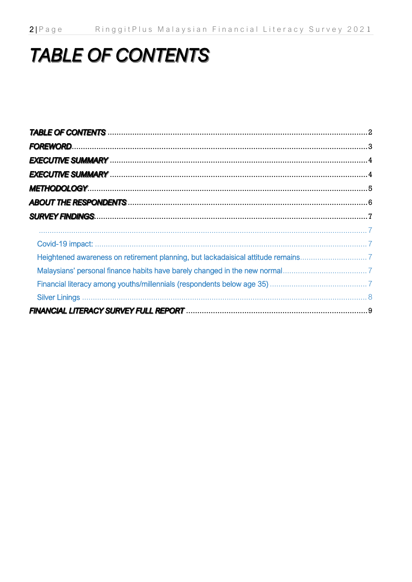# **TABLE OF CONTENTS**

| Heightened awareness on retirement planning, but lackadaisical attitude remains7 |
|----------------------------------------------------------------------------------|
|                                                                                  |
|                                                                                  |
|                                                                                  |
|                                                                                  |
|                                                                                  |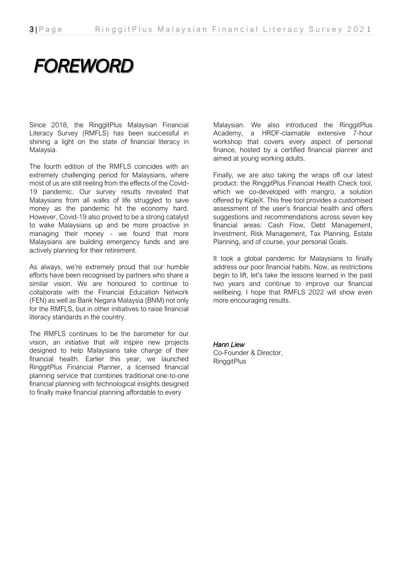# **FOREWORD**

Since 2018, the RinggitPlus Malaysian Financial Literacy Survey (RMFLS) has been successful in shining a light on the state of financial literacy in Malaysia.

The fourth edition of the RMFLS coincides with an extremely challenging period for Malaysians, where most of us are still reeling from the effects of the Covid-19 pandemic. Our survey results revealed that Malaysians from all walks of life struggled to save money as the pandemic hit the economy hard. However, Covid-19 also proved to be a strong catalyst to wake Malaysians up and be more proactive in managing their money - we found that more Malaysians are building emergency funds and are actively planning for their retirement.

As always, we're extremely proud that our humble efforts have been recognised by partners who share a similar vision. We are honoured to continue to collaborate with the Financial Education Network (FEN) as well as Bank Negara Malaysia (BNM) not only for the RMFLS, but in other initiatives to raise financial literacy standards in the country.

The RMFLS continues to be the barometer for our vision, an initiative that will inspire new projects designed to help Malaysians take charge of their financial health. Earlier this year, we launched RinggitPlus Financial Planner, a licensed financial planning service that combines traditional one-to-one financial planning with technological insights designed to finally make financial planning affordable to every

Malaysian. We also introduced the RinggitPlus Academy, a HRDF-claimable extensive 7-hour workshop that covers every aspect of personal finance, hosted by a certified financial planner and aimed at young working adults.

Finally, we are also taking the wraps off our latest product: the RinggitPlus Financial Health Check tool, which we co-developed with mangro, a solution offered by KipleX. This free tool provides a customised assessment of the user's financial health and offers suggestions and recommendations across seven key financial areas: Cash Flow, Debt Management, Investment, Risk Management, Tax Planning, Estate Planning, and of course, your personal Goals.

It took a global pandemic for Malaysians to finally address our poor financial habits. Now, as restrictions begin to lift, let's take the lessons learned in the past two years and continue to improve our financial wellbeing. I hope that RMFLS 2022 will show even more encouraging results.

*Hann Liew* Co-Founder & Director, **RinggitPlus**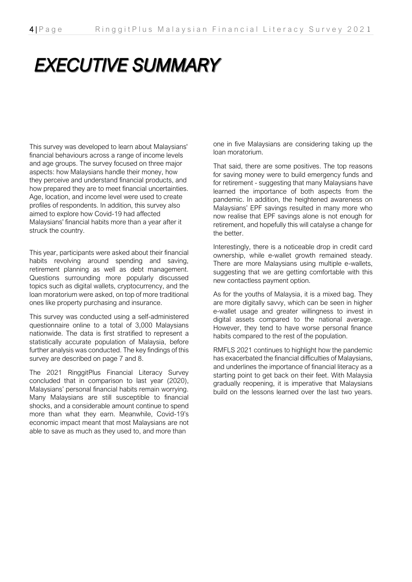# **EXECUTIVE SUMMARY**

This survey was developed to learn about Malaysians' financial behaviours across a range of income levels and age groups. The survey focused on three major aspects: how Malaysians handle their money, how they perceive and understand financial products, and how prepared they are to meet financial uncertainties. Age, location, and income level were used to create profiles of respondents. In addition, this survey also aimed to explore how Covid-19 had affected Malaysians' financial habits more than a year after it struck the country.

This year, participants were asked about their financial habits revolving around spending and saving, retirement planning as well as debt management. Questions surrounding more popularly discussed topics such as digital wallets, cryptocurrency, and the loan moratorium were asked, on top of more traditional ones like property purchasing and insurance.

This survey was conducted using a self-administered questionnaire online to a total of 3,000 Malaysians nationwide. The data is first stratified to represent a statistically accurate population of Malaysia, before further analysis was conducted. The key findings of this survey are described on page 7 and 8.

The 2021 RinggitPlus Financial Literacy Survey concluded that in comparison to last year (2020), Malaysians' personal financial habits remain worrying. Many Malaysians are still susceptible to financial shocks, and a considerable amount continue to spend more than what they earn. Meanwhile, Covid-19's economic impact meant that most Malaysians are not able to save as much as they used to, and more than

one in five Malaysians are considering taking up the loan moratorium.

That said, there are some positives. The top reasons for saving money were to build emergency funds and for retirement - suggesting that many Malaysians have learned the importance of both aspects from the pandemic. In addition, the heightened awareness on Malaysians' EPF savings resulted in many more who now realise that EPF savings alone is not enough for retirement, and hopefully this will catalyse a change for the better.

Interestingly, there is a noticeable drop in credit card ownership, while e-wallet growth remained steady. There are more Malaysians using multiple e-wallets, suggesting that we are getting comfortable with this new contactless payment option.

As for the youths of Malaysia, it is a mixed bag. They are more digitally savvy, which can be seen in higher e-wallet usage and greater willingness to invest in digital assets compared to the national average. However, they tend to have worse personal finance habits compared to the rest of the population.

RMFLS 2021 continues to highlight how the pandemic has exacerbated the financial difficulties of Malaysians, and underlines the importance of financial literacy as a starting point to get back on their feet. With Malaysia gradually reopening, it is imperative that Malaysians build on the lessons learned over the last two years.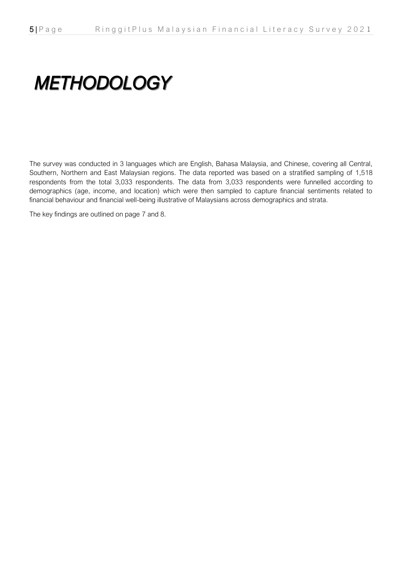# **METHODOLOGY**

The survey was conducted in 3 languages which are English, Bahasa Malaysia, and Chinese, covering all Central, Southern, Northern and East Malaysian regions. The data reported was based on a stratified sampling of 1,518 respondents from the total 3,033 respondents. The data from 3,033 respondents were funnelled according to demographics (age, income, and location) which were then sampled to capture financial sentiments related to financial behaviour and financial well-being illustrative of Malaysians across demographics and strata.

The key findings are outlined on page 7 and 8.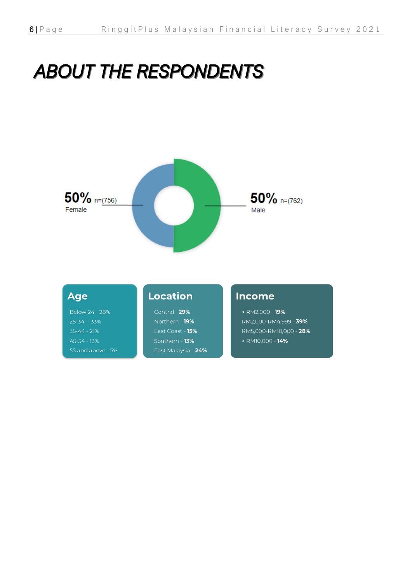# **ABOUT THE RESPONDENTS**



# **Age**

Below 24 - 28%  $45 - 54 - 13%$ 55 and above - 5%

# **Location**

Central - 29% Northern - 19% East Coast - 15% Southern - 13% East Malaysia - 24%

# **Income**

<RM2,000 - 19% RM2,000-RM4,999 - 39% RM5,000-RM10,000 - 28% > RM10,000 - 14%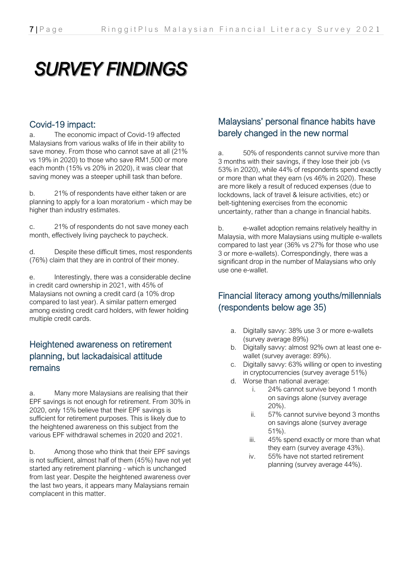# **SURVEY FINDINGS**

### Covid-19 impact:

a. The economic impact of Covid-19 affected Malaysians from various walks of life in their ability to save money. From those who cannot save at all (21% vs 19% in 2020) to those who save RM1,500 or more each month (15% vs 20% in 2020), it was clear that saving money was a steeper uphill task than before.

b. 21% of respondents have either taken or are planning to apply for a loan moratorium - which may be higher than industry estimates.

c. 21% of respondents do not save money each month, effectively living paycheck to paycheck.

d. Despite these difficult times, most respondents (76%) claim that they are in control of their money.

e. Interestingly, there was a considerable decline in credit card ownership in 2021, with 45% of Malaysians not owning a credit card (a 10% drop compared to last year). A similar pattern emerged among existing credit card holders, with fewer holding multiple credit cards.

# Heightened awareness on retirement planning, but lackadaisical attitude remains

a. Many more Malaysians are realising that their EPF savings is not enough for retirement. From 30% in 2020, only 15% believe that their EPF savings is sufficient for retirement purposes. This is likely due to the heightened awareness on this subject from the various EPF withdrawal schemes in 2020 and 2021.

b. Among those who think that their EPF savings is not sufficient, almost half of them (45%) have not yet started any retirement planning - which is unchanged from last year. Despite the heightened awareness over the last two years, it appears many Malaysians remain complacent in this matter.

# Malaysians' personal finance habits have barely changed in the new normal

a. 50% of respondents cannot survive more than 3 months with their savings, if they lose their job (vs 53% in 2020), while 44% of respondents spend exactly or more than what they earn (vs 46% in 2020). These are more likely a result of reduced expenses (due to lockdowns, lack of travel & leisure activities, etc) or belt-tightening exercises from the economic uncertainty, rather than a change in financial habits.

b. e-wallet adoption remains relatively healthy in Malaysia, with more Malaysians using multiple e-wallets compared to last year (36% vs 27% for those who use 3 or more e-wallets). Correspondingly, there was a significant drop in the number of Malaysians who only use one e-wallet.

# Financial literacy among youths/millennials (respondents below age 35)

- a. Digitally savvy: 38% use 3 or more e-wallets (survey average 89%)
- b. Digitally savvy: almost 92% own at least one ewallet (survey average: 89%).
- c. Digitally savvy: 63% willing or open to investing in cryptocurrencies (survey average 51%)
- d. Worse than national average:
	- i. 24% cannot survive beyond 1 month on savings alone (survey average 20%).
	- ii. 57% cannot survive beyond 3 months on savings alone (survey average 51%).
	- iii. 45% spend exactly or more than what they earn (survey average 43%).
	- iv. 55% have not started retirement planning (survey average 44%).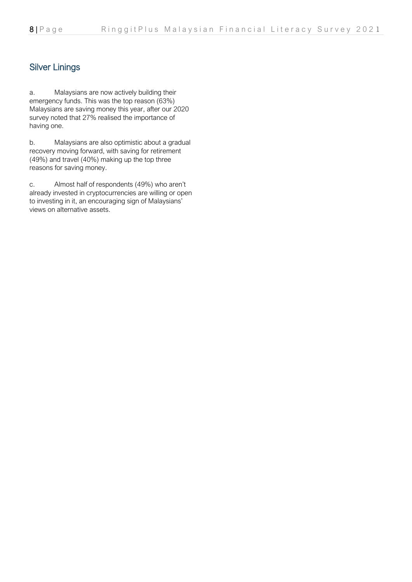# Silver Linings

a. Malaysians are now actively building their emergency funds. This was the top reason (63%) Malaysians are saving money this year, after our 2020 survey noted that 27% realised the importance of having one.

b. Malaysians are also optimistic about a gradual recovery moving forward, with saving for retirement (49%) and travel (40%) making up the top three reasons for saving money.

c. Almost half of respondents (49%) who aren't already invested in cryptocurrencies are willing or open to investing in it, an encouraging sign of Malaysians' views on alternative assets.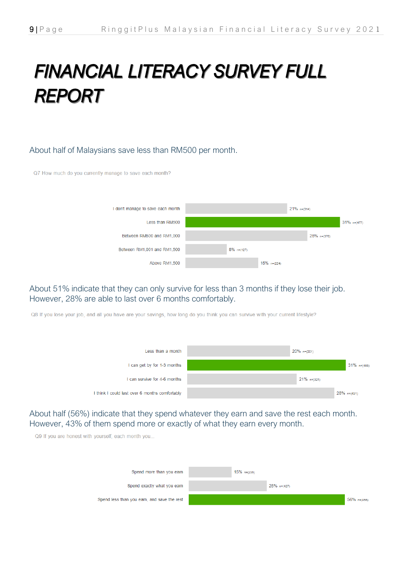# FINANCIAL LITERACY SURVEY FULL **REPORT**

#### About half of Malaysians save less than RM500 per month.

Q7 How much do you currently manage to save each month?  $21\%$  n=(314) I don't manage to save each month Less than RM500  $31\%$  n=(477) 25% n=(376) Between RM500 and RM1 000  $8\%$  n=(127) Between RM1 001 and RM1 500 15%  $n=(224)$ Above RM1.500

#### About 51% indicate that they can only survive for less than 3 months if they lose their job. However, 28% are able to last over 6 months comfortably.

Q8 If you lose your job, and all you have are your savings, how long do you think you can survive with your current lifestyle?

| Less than a month                              | $20\%$ n=(301) |                |
|------------------------------------------------|----------------|----------------|
| I can get by for 1-3 months                    |                | $31\%$ n=(465) |
| can survive for 4-6 months                     | $21\%$ n=(321) |                |
| I think I could last over 6 months comfortably |                | $28\%$ n=(431) |

#### About half (56%) indicate that they spend whatever they earn and save the rest each month. However, 43% of them spend more or exactly of what they earn every month.

Q9 If you are honest with yourself, each month you.

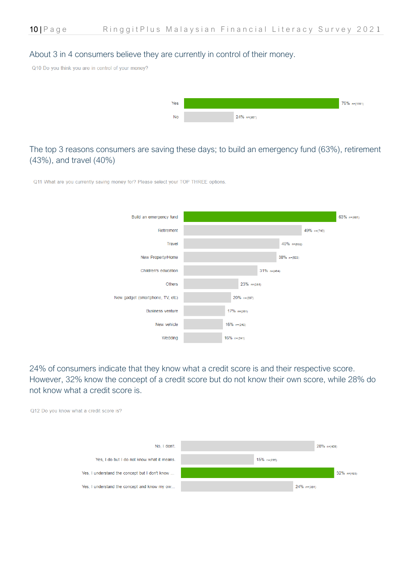#### About 3 in 4 consumers believe they are currently in control of their money.

Q10 Do you think you are in control of your money?



#### The top 3 reasons consumers are saving these days; to build an emergency fund (63%), retirement (43%), and travel (40%)

Q11 What are you currently saving money for? Please select your TOP THREE options.



24% of consumers indicate that they know what a credit score is and their respective score. However, 32% know the concept of a credit score but do not know their own score, while 28% do not know what a credit score is.

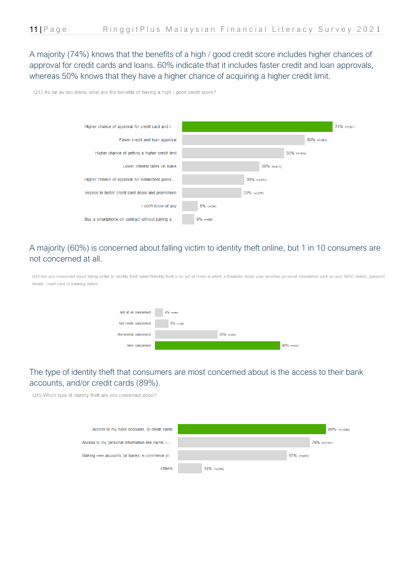A majority (74%) knows that the benefits of a high / good credit score includes higher chances of approval for credit cards and loans. 60% indicate that it includes faster credit and loan approvals, whereas 50% knows that they have a higher chance of acquiring a higher credit limit.

Q13 As far as you know, what are the benefits of having a high / good credit score?



### A majority (60%) is concerned about falling victim to identity theft online, but 1 in 10 consumers are not concerned at all.

O14 Are you concerned about falling victim to identify theft online?Identify theft is an act of crime in which a fraudster steals your sensitive personal information such as your NRIC details passport details, credit card or banking details

| Not at all concerned | $4\%$ n=(56) |                |             |
|----------------------|--------------|----------------|-------------|
| Not really concerned | $6\%$ n=(98) |                |             |
| Somewhat concerned   |              | $30\%$ n=(454) |             |
| Very concerned       |              |                | 60% n=(910) |

### The type of identity theft that consumers are most concerned about is the access to their bank accounts, and/or credit cards (89%).

Q15 Which type of identity theft are you concerned about?

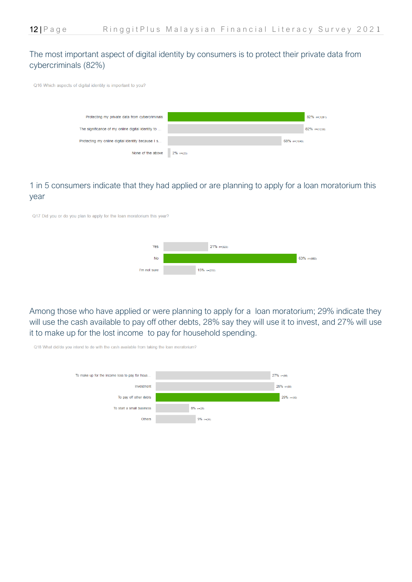### The most important aspect of digital identity by consumers is to protect their private data from cybercriminals (82%)

Q16 Which aspects of digital identity is important to you?



#### 1 in 5 consumers indicate that they had applied or are planning to apply for a loan moratorium this year

Q17 Did you or do you plan to apply for the loan moratorium this year?



Among those who have applied or were planning to apply for a loan moratorium; 29% indicate they will use the cash available to pay off other debts, 28% say they will use it to invest, and 27% will use it to make up for the lost income to pay for household spending.



Q18 What did/do you intend to do with the cash available from taking the loan moratorium?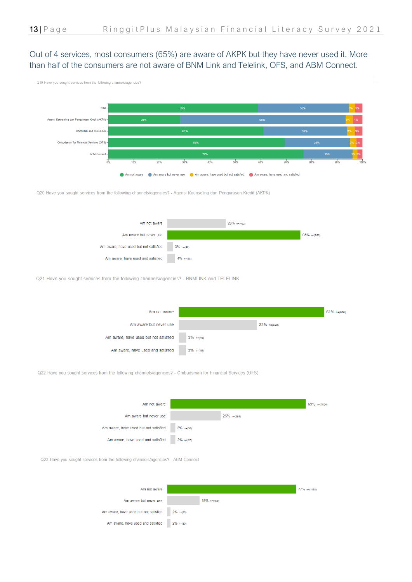### Out of 4 services, most consumers (65%) are aware of AKPK but they have never used it. More than half of the consumers are not aware of BNM Link and Telelink, OFS, and ABM Connect.





Q20 Have you sought services from the following channels/agencies? - Agensi Kaunseling dan Pengurusan Kredit (AKPK)



Q21 Have you sought services from the following channels/agencies? - BNMLINK and TELELINK



Q22 Have you sought services from the following channels/agencies? - Ombudsman for Financial Services (OFS)



Q23 Have you sought services from the following channels/agencies? - ABM Connect

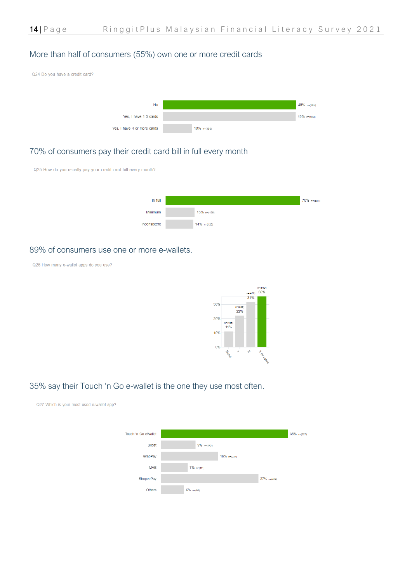#### More than half of consumers (55%) own one or more credit cards



#### 70% of consumers pay their credit card bill in full every month



#### 89% of consumers use one or more e-wallets.

Q26 How many e-wallet apps do you use?



#### 35% say their Touch 'n Go e-wallet is the one they use most often.

Q27 Which is your most used e-wallet app? Touch 'n Go eWallet  $35\%$  n=(527)  $9\%$  n=(143) Boost  $16\%$  n=(237) GrabPay **MAE**  $7\%$  n=(111) ShopeePay  $27\%$  n=(404)  $6\%$  n=(96) Others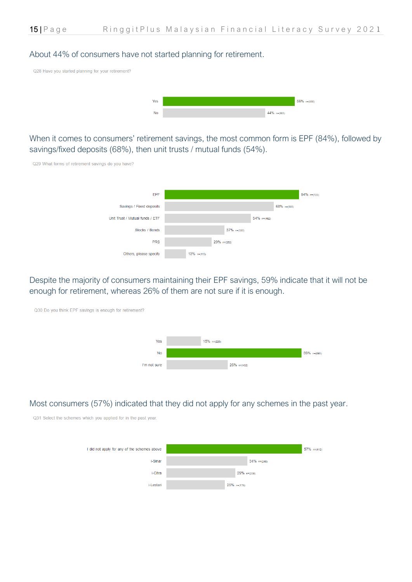#### About 44% of consumers have not started planning for retirement.

Q28 Have you started planning for your retirement?



When it comes to consumers' retirement savings, the most common form is EPF (84%), followed by savings/fixed deposits (68%), then unit trusts / mutual funds (54%).



Despite the majority of consumers maintaining their EPF savings, 59% indicate that it will not be enough for retirement, whereas 26% of them are not sure if it is enough.



#### Most consumers (57%) indicated that they did not apply for any schemes in the past year.

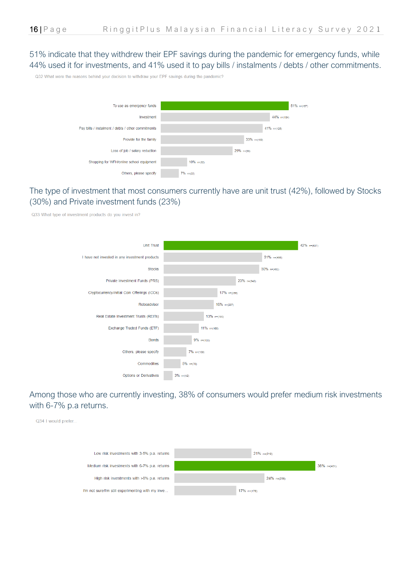51% indicate that they withdrew their EPF savings during the pandemic for emergency funds, while 44% used it for investments, and 41% used it to pay bills / instalments / debts / other commitments.

Q32 What were the reasons behind your decision to withdraw your EPF savings during the pandemic?



### The type of investment that most consumers currently have are unit trust (42%), followed by Stocks (30%) and Private investment funds (23%)

Q33 What type of investment products do you invest in?



### Among those who are currently investing, 38% of consumers would prefer medium risk investments with 6-7% p.a returns.

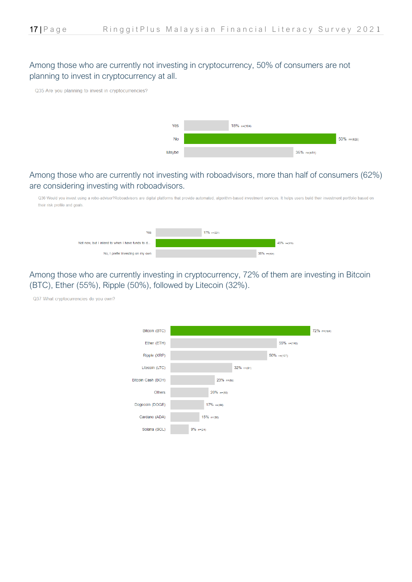### Among those who are currently not investing in cryptocurrency, 50% of consumers are not planning to invest in cryptocurrency at all.

Q35 Are you planning to invest in cryptocurrencies?



### Among those who are currently not investing with roboadvisors, more than half of consumers (62%) are considering investing with roboadvisors.

Q36 Would you invest using a robo-advisor?Roboadvisors are digital platforms that provide automated, algorithm-based investment services. It helps users build their investment portfolio based on their risk profile and goals



Among those who are currently investing in cryptocurrency, 72% of them are investing in Bitcoin (BTC), Ether (55%), Ripple (50%), followed by Litecoin (32%).

Q37 What cryptocurrencies do you own?

| Bitcoin (BTC)      |                |               |                | 72% n=(184) |
|--------------------|----------------|---------------|----------------|-------------|
| Ether (ETH)        |                |               | $55\%$ n=(140) |             |
| Ripple (XRP)       |                |               | $50\%$ n=(127) |             |
| Litecoin (LTC)     |                | $32\%$ n=(81) |                |             |
| Bitcoin Cash (BCH) | $23\%$ n=(58)  |               |                |             |
| <b>Others</b>      | $20\%$ n=(50)  |               |                |             |
| Dogecoin (DOGE)    | $17\%$ n=(44)  |               |                |             |
| Cardano (ADA)      | $15%$ $n=(38)$ |               |                |             |
| Solana (SOL)       | $9\%$ n=(24)   |               |                |             |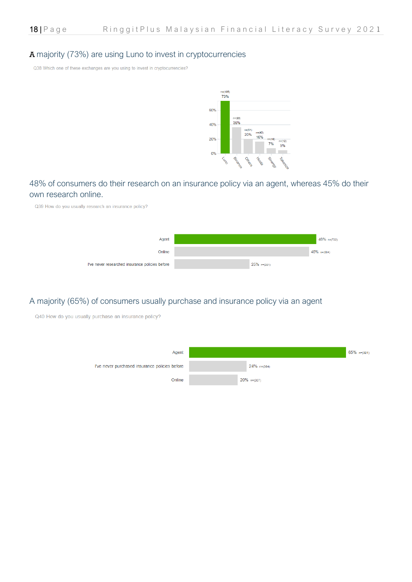#### A majority (73%) are using Luno to invest in cryptocurrencies

Q38 Which one of these exchanges are you using to invest in cryptocurrencies?



#### 48% of consumers do their research on an insurance policy via an agent, whereas 45% do their own research online.

Q39 How do you usually research an insurance policy?



#### A majority (65%) of consumers usually purchase and insurance policy via an agent

Q40 How do you usually purchase an insurance policy?

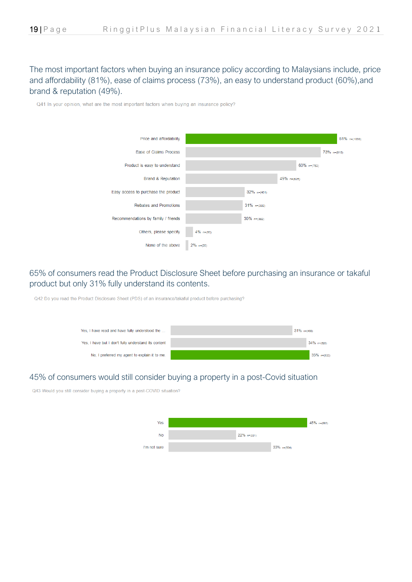The most important factors when buying an insurance policy according to Malaysians include, price and affordability (81%), ease of claims process (73%), an easy to understand product (60%),and brand & reputation (49%).

Q41 In your opinion, what are the most important factors when buying an insurance policy?



### 65% of consumers read the Product Disclosure Sheet before purchasing an insurance or takaful product but only 31% fully understand its contents.

Q42 Do you read the Product Disclosure Sheet (PDS) of an insurance/takaful product before purchasing?



#### 45% of consumers would still consider buying a property in a post-Covid situation

Q43 Would you still consider buying a property in a post-COVID situation?

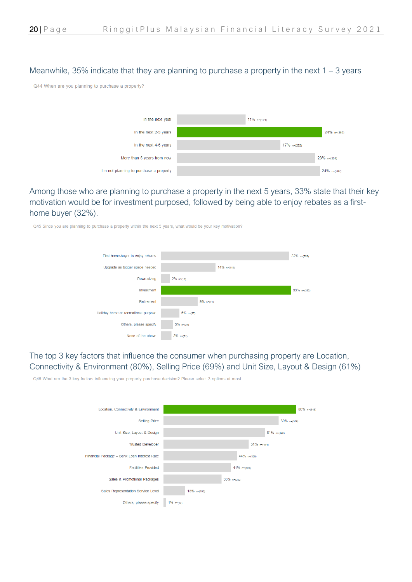#### Meanwhile, 35% indicate that they are planning to purchase a property in the next  $1 - 3$  years

Q44 When are you planning to purchase a property?



Among those who are planning to purchase a property in the next 5 years, 33% state that their key motivation would be for investment purposed, followed by being able to enjoy rebates as a firsthome buyer (32%).

Q45 Since you are planning to purchase a property within the next 5 years, what would be your key motivation?



The top 3 key factors that influence the consumer when purchasing property are Location, Connectivity & Environment (80%), Selling Price (69%) and Unit Size, Layout & Design (61%)

Q46 What are the 3 key factors influencing your property purchase decision? Please select 3 options at most.

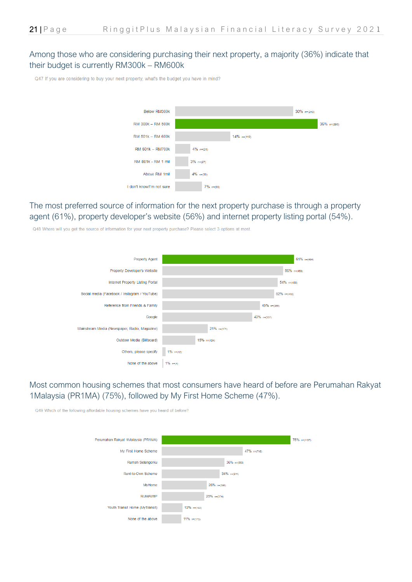#### Among those who are considering purchasing their next property, a majority (36%) indicate that their budget is currently RM300k – RM600k

Q47 If you are considering to buy your next property, what's the budget you have in mind?



#### The most preferred source of information for the next property purchase is through a property agent (61%), property developer's website (56%) and internet property listing portal (54%).

Q48 Where will you get the source of information for your next property purchase? Please select 3 options at most



### Most common housing schemes that most consumers have heard of before are Perumahan Rakyat 1Malaysia (PR1MA) (75%), followed by My First Home Scheme (47%).

Q49 Which of the following affordable housing schemes have you heard of before?

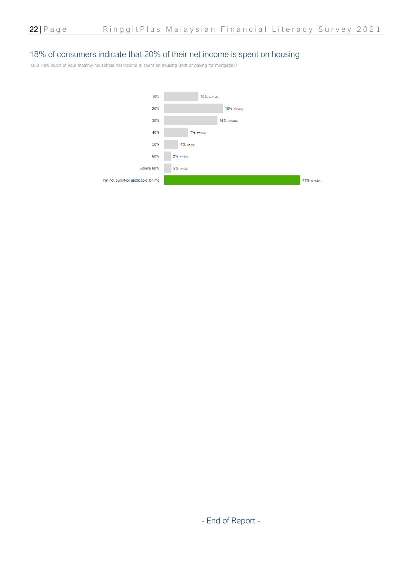#### 18% of consumers indicate that 20% of their net income is spent on housing

Q50 How much of your monthly household net income is spent on housing (rent or paying for mortgage)?



- End of Report -